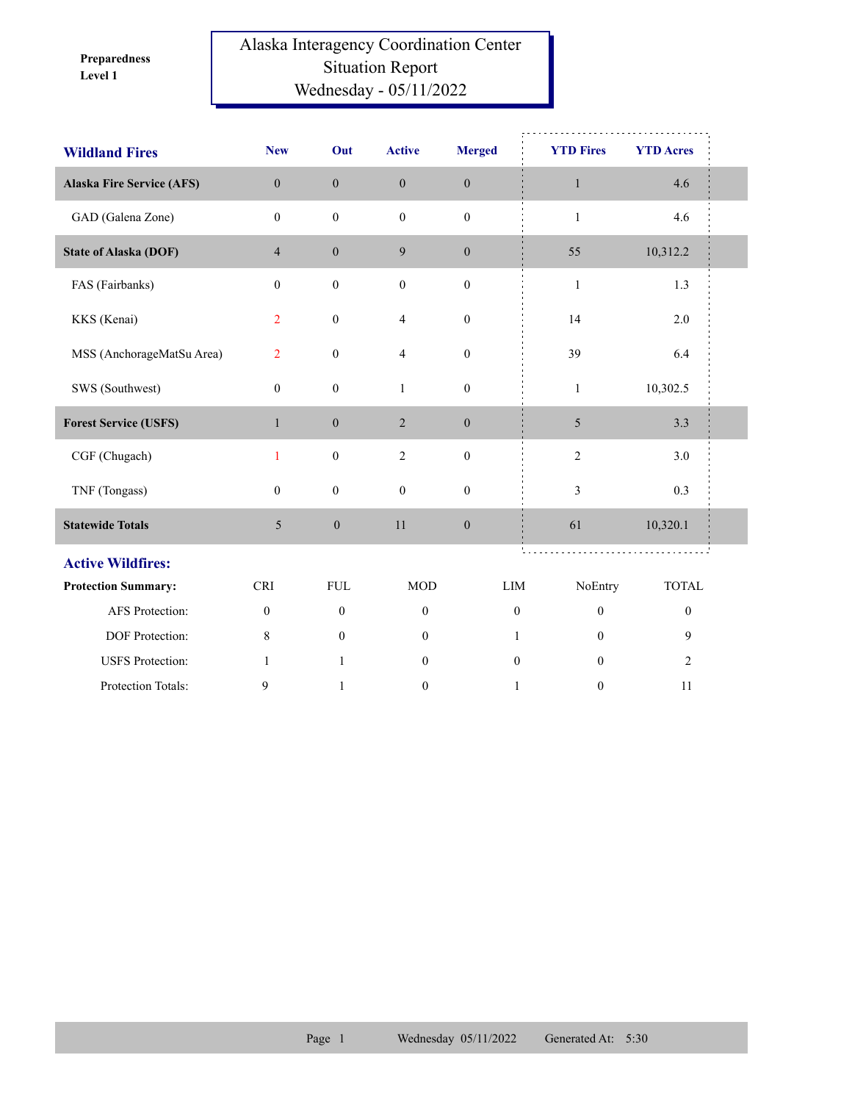**Level 1 Preparedness** 

## Alaska Interagency Coordination Center Situation Report Wednesday - 05/11/2022

| <b>Wildland Fires</b>            | <b>New</b>       | Out              | <b>Active</b>    | <b>Merged</b>    | <b>YTD Fires</b> | <b>YTD Acres</b> |  |
|----------------------------------|------------------|------------------|------------------|------------------|------------------|------------------|--|
| <b>Alaska Fire Service (AFS)</b> | $\mathbf{0}$     | $\mathbf{0}$     | $\boldsymbol{0}$ | $\boldsymbol{0}$ | $\mathbf{1}$     | 4.6              |  |
| GAD (Galena Zone)                | $\mathbf{0}$     | $\mathbf{0}$     | $\mathbf{0}$     | $\mathbf{0}$     | $\mathbf{1}$     | 4.6              |  |
| <b>State of Alaska (DOF)</b>     | $\overline{4}$   | $\boldsymbol{0}$ | $\overline{9}$   | $\boldsymbol{0}$ | 55               | 10,312.2         |  |
| FAS (Fairbanks)                  | $\mathbf{0}$     | $\boldsymbol{0}$ | $\boldsymbol{0}$ | $\boldsymbol{0}$ | $\mathbf{1}$     | 1.3              |  |
| KKS (Kenai)                      | $\overline{2}$   | $\boldsymbol{0}$ | $\overline{4}$   | $\boldsymbol{0}$ | 14               | 2.0              |  |
| MSS (AnchorageMatSu Area)        | $\overline{2}$   | $\boldsymbol{0}$ | $\overline{4}$   | $\boldsymbol{0}$ | 39               | 6.4              |  |
| SWS (Southwest)                  | $\boldsymbol{0}$ | $\boldsymbol{0}$ | $\mathbf{1}$     | $\boldsymbol{0}$ | $\mathbf{1}$     | 10,302.5         |  |
| <b>Forest Service (USFS)</b>     | $\mathbf{1}$     | $\boldsymbol{0}$ | 2                | $\boldsymbol{0}$ | $\mathfrak{S}$   | 3.3              |  |
| CGF (Chugach)                    | 1                | $\boldsymbol{0}$ | $\overline{2}$   | $\mathbf{0}$     | $\sqrt{2}$       | 3.0              |  |
| TNF (Tongass)                    | $\mathbf{0}$     | $\boldsymbol{0}$ | $\mathbf{0}$     | $\boldsymbol{0}$ | 3                | 0.3              |  |
| <b>Statewide Totals</b>          | $\mathfrak{S}$   | $\boldsymbol{0}$ | 11               | $\boldsymbol{0}$ | 61               | 10,320.1         |  |
| <b>Active Wildfires:</b>         |                  |                  |                  |                  |                  |                  |  |
| <b>Protection Summary:</b>       | <b>CRI</b>       | ${\rm FUL}$      | <b>MOD</b>       | <b>LIM</b>       | NoEntry          | <b>TOTAL</b>     |  |
| AFS Protection:                  | $\boldsymbol{0}$ | $\boldsymbol{0}$ | $\boldsymbol{0}$ | $\boldsymbol{0}$ | $\boldsymbol{0}$ | $\boldsymbol{0}$ |  |
| DOF Protection:                  | 8                | $\mathbf{0}$     | $\mathbf{0}$     | 1                | $\mathbf{0}$     | 9                |  |
| <b>USFS</b> Protection:          | $\mathbf{1}$     | $\mathbf{1}$     | $\mathbf{0}$     | $\theta$         | $\theta$         | $\overline{2}$   |  |
| Protection Totals:               | 9                | $\mathbf{1}$     | $\mathbf{0}$     | $\mathbf{1}$     | $\mathbf{0}$     | 11               |  |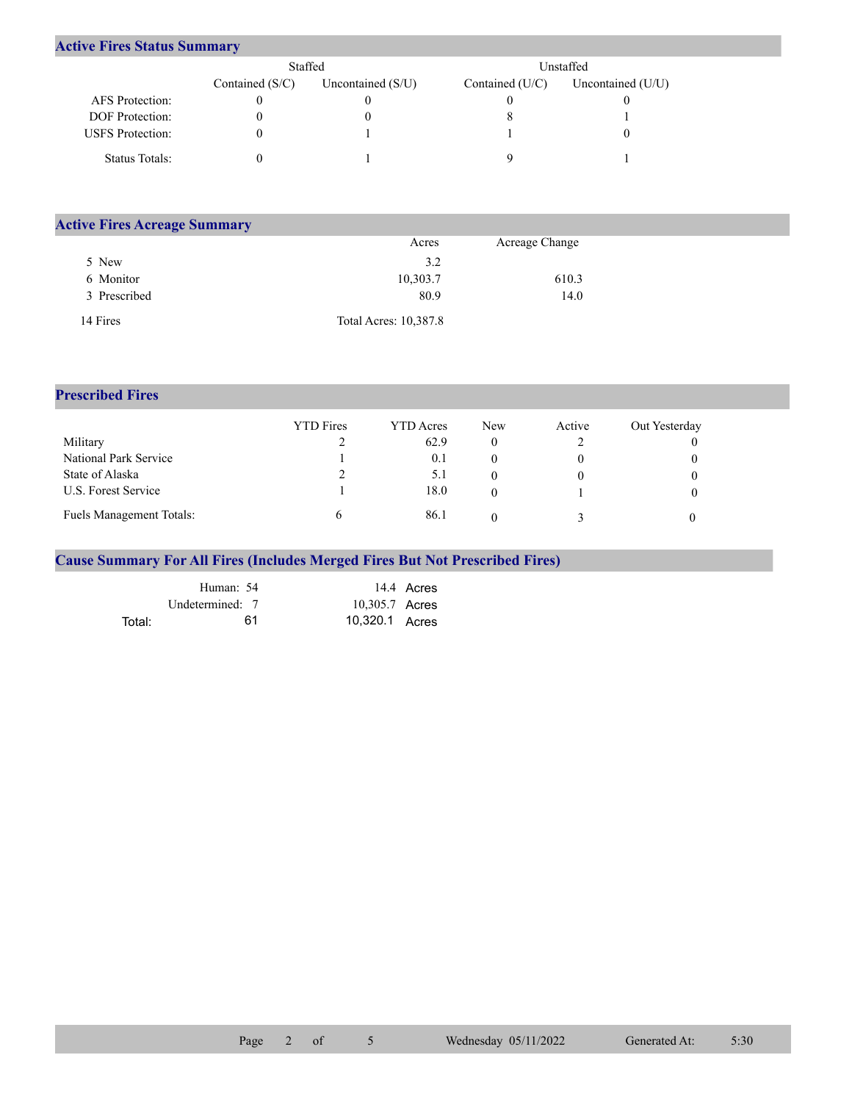## **Active Fires Status Summary**

|                         | Staffed           |                     | Unstaffed         |                     |  |  |
|-------------------------|-------------------|---------------------|-------------------|---------------------|--|--|
|                         | Contained $(S/C)$ | Uncontained $(S/U)$ | Contained $(U/C)$ | Uncontained $(U/U)$ |  |  |
| AFS Protection:         |                   |                     |                   |                     |  |  |
| <b>DOF</b> Protection:  |                   |                     |                   |                     |  |  |
| <b>USFS</b> Protection: |                   |                     |                   |                     |  |  |
| Status Totals:          |                   |                     |                   |                     |  |  |

| <b>Active Fires Acreage Summary</b> |                       |                |  |  |  |  |  |  |
|-------------------------------------|-----------------------|----------------|--|--|--|--|--|--|
|                                     | Acres                 | Acreage Change |  |  |  |  |  |  |
| 5 New                               | 3.2                   |                |  |  |  |  |  |  |
| 6 Monitor                           | 10,303.7              | 610.3          |  |  |  |  |  |  |
| 3 Prescribed                        | 80.9                  | 14.0           |  |  |  |  |  |  |
| 14 Fires                            | Total Acres: 10,387.8 |                |  |  |  |  |  |  |

## **Prescribed Fires**

|                                 | <b>YTD</b> Fires | <b>YTD</b> Acres | <b>New</b> | Active | Out Yesterday |
|---------------------------------|------------------|------------------|------------|--------|---------------|
| Military                        |                  | 62.9             |            |        |               |
| National Park Service           |                  | 0.1              |            |        |               |
| State of Alaska                 |                  |                  |            |        |               |
| U.S. Forest Service             |                  | 18.0             |            |        |               |
| <b>Fuels Management Totals:</b> |                  | 86.1             |            |        |               |

## **Cause Summary For All Fires (Includes Merged Fires But Not Prescribed Fires)**

|        | Human: 54       | 14.4 Acres     |
|--------|-----------------|----------------|
|        | Undetermined: 7 | 10,305.7 Acres |
| Total: | 61              | 10,320.1 Acres |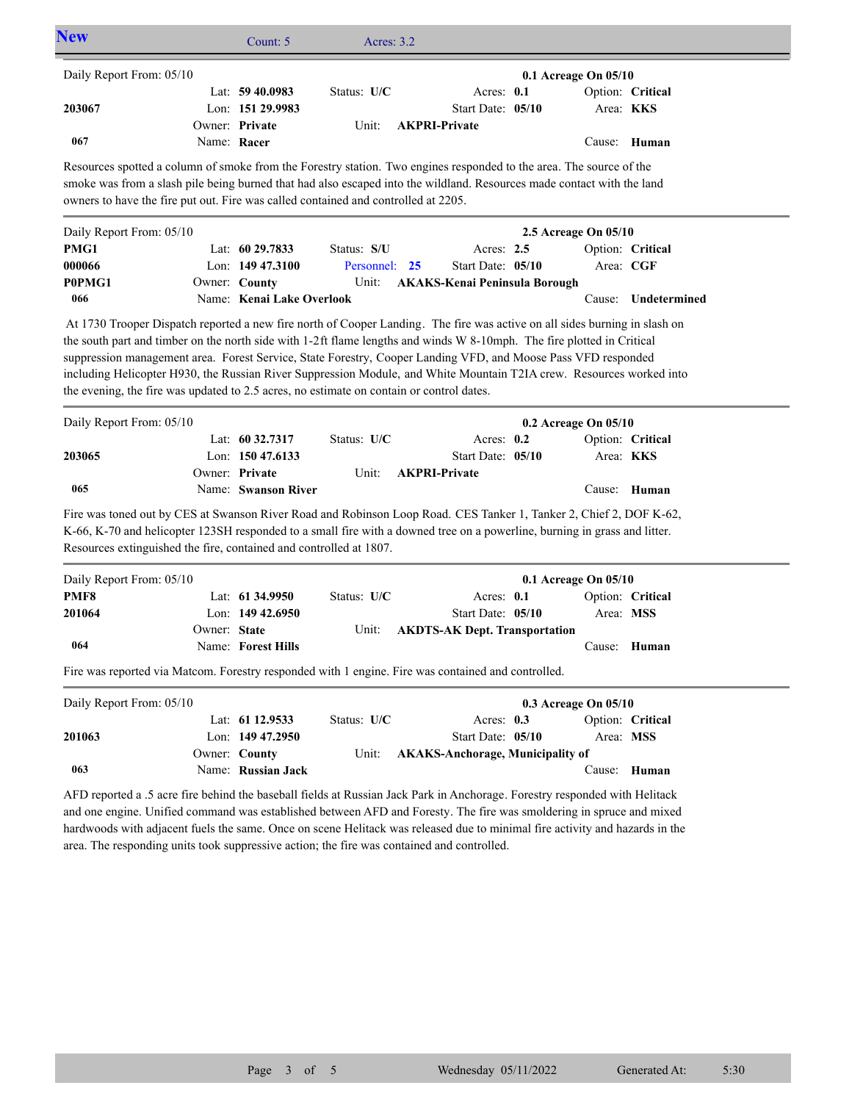|             |                                        |                                                                                                                                                                                                                      |                                                                                                                                  | 0.1 Acreage On 05/10                                                                                                                                                                                                    |                                                                                                                                                 |                                                                                                                                                                                                                                                                                                                                                                                                                                                                                                                                                                                                                                                                                                                                                                                                                                                                                                                                                                                                                                                                                                                                          |
|-------------|----------------------------------------|----------------------------------------------------------------------------------------------------------------------------------------------------------------------------------------------------------------------|----------------------------------------------------------------------------------------------------------------------------------|-------------------------------------------------------------------------------------------------------------------------------------------------------------------------------------------------------------------------|-------------------------------------------------------------------------------------------------------------------------------------------------|------------------------------------------------------------------------------------------------------------------------------------------------------------------------------------------------------------------------------------------------------------------------------------------------------------------------------------------------------------------------------------------------------------------------------------------------------------------------------------------------------------------------------------------------------------------------------------------------------------------------------------------------------------------------------------------------------------------------------------------------------------------------------------------------------------------------------------------------------------------------------------------------------------------------------------------------------------------------------------------------------------------------------------------------------------------------------------------------------------------------------------------|
|             | Lat: $59\,40.0983$<br>Lon: 151 29.9983 | Status: U/C                                                                                                                                                                                                          | Acres: 0.1<br>Start Date: 05/10                                                                                                  |                                                                                                                                                                                                                         | Area: KKS                                                                                                                                       | Option: Critical                                                                                                                                                                                                                                                                                                                                                                                                                                                                                                                                                                                                                                                                                                                                                                                                                                                                                                                                                                                                                                                                                                                         |
| Name: Racer | Owner: Private                         | Unit:                                                                                                                                                                                                                | <b>AKPRI-Private</b>                                                                                                             |                                                                                                                                                                                                                         |                                                                                                                                                 | Cause: Human                                                                                                                                                                                                                                                                                                                                                                                                                                                                                                                                                                                                                                                                                                                                                                                                                                                                                                                                                                                                                                                                                                                             |
|             |                                        |                                                                                                                                                                                                                      |                                                                                                                                  |                                                                                                                                                                                                                         |                                                                                                                                                 |                                                                                                                                                                                                                                                                                                                                                                                                                                                                                                                                                                                                                                                                                                                                                                                                                                                                                                                                                                                                                                                                                                                                          |
|             |                                        |                                                                                                                                                                                                                      |                                                                                                                                  |                                                                                                                                                                                                                         |                                                                                                                                                 |                                                                                                                                                                                                                                                                                                                                                                                                                                                                                                                                                                                                                                                                                                                                                                                                                                                                                                                                                                                                                                                                                                                                          |
|             |                                        |                                                                                                                                                                                                                      |                                                                                                                                  |                                                                                                                                                                                                                         |                                                                                                                                                 | Option: Critical                                                                                                                                                                                                                                                                                                                                                                                                                                                                                                                                                                                                                                                                                                                                                                                                                                                                                                                                                                                                                                                                                                                         |
|             |                                        |                                                                                                                                                                                                                      |                                                                                                                                  |                                                                                                                                                                                                                         |                                                                                                                                                 |                                                                                                                                                                                                                                                                                                                                                                                                                                                                                                                                                                                                                                                                                                                                                                                                                                                                                                                                                                                                                                                                                                                                          |
|             |                                        |                                                                                                                                                                                                                      |                                                                                                                                  |                                                                                                                                                                                                                         | Cause:                                                                                                                                          | Undetermined                                                                                                                                                                                                                                                                                                                                                                                                                                                                                                                                                                                                                                                                                                                                                                                                                                                                                                                                                                                                                                                                                                                             |
|             |                                        |                                                                                                                                                                                                                      |                                                                                                                                  |                                                                                                                                                                                                                         |                                                                                                                                                 |                                                                                                                                                                                                                                                                                                                                                                                                                                                                                                                                                                                                                                                                                                                                                                                                                                                                                                                                                                                                                                                                                                                                          |
|             |                                        |                                                                                                                                                                                                                      |                                                                                                                                  |                                                                                                                                                                                                                         |                                                                                                                                                 |                                                                                                                                                                                                                                                                                                                                                                                                                                                                                                                                                                                                                                                                                                                                                                                                                                                                                                                                                                                                                                                                                                                                          |
|             |                                        | Status: U/C                                                                                                                                                                                                          |                                                                                                                                  |                                                                                                                                                                                                                         |                                                                                                                                                 | Option: Critical                                                                                                                                                                                                                                                                                                                                                                                                                                                                                                                                                                                                                                                                                                                                                                                                                                                                                                                                                                                                                                                                                                                         |
|             |                                        |                                                                                                                                                                                                                      |                                                                                                                                  |                                                                                                                                                                                                                         | Area: <b>KKS</b>                                                                                                                                |                                                                                                                                                                                                                                                                                                                                                                                                                                                                                                                                                                                                                                                                                                                                                                                                                                                                                                                                                                                                                                                                                                                                          |
|             |                                        | Unit:                                                                                                                                                                                                                |                                                                                                                                  |                                                                                                                                                                                                                         |                                                                                                                                                 |                                                                                                                                                                                                                                                                                                                                                                                                                                                                                                                                                                                                                                                                                                                                                                                                                                                                                                                                                                                                                                                                                                                                          |
|             |                                        |                                                                                                                                                                                                                      |                                                                                                                                  |                                                                                                                                                                                                                         |                                                                                                                                                 | Cause: Human                                                                                                                                                                                                                                                                                                                                                                                                                                                                                                                                                                                                                                                                                                                                                                                                                                                                                                                                                                                                                                                                                                                             |
|             |                                        |                                                                                                                                                                                                                      |                                                                                                                                  |                                                                                                                                                                                                                         |                                                                                                                                                 |                                                                                                                                                                                                                                                                                                                                                                                                                                                                                                                                                                                                                                                                                                                                                                                                                                                                                                                                                                                                                                                                                                                                          |
|             |                                        | Status: U/C                                                                                                                                                                                                          |                                                                                                                                  |                                                                                                                                                                                                                         |                                                                                                                                                 | Option: Critical                                                                                                                                                                                                                                                                                                                                                                                                                                                                                                                                                                                                                                                                                                                                                                                                                                                                                                                                                                                                                                                                                                                         |
|             |                                        |                                                                                                                                                                                                                      |                                                                                                                                  |                                                                                                                                                                                                                         | Area: MSS                                                                                                                                       |                                                                                                                                                                                                                                                                                                                                                                                                                                                                                                                                                                                                                                                                                                                                                                                                                                                                                                                                                                                                                                                                                                                                          |
|             |                                        |                                                                                                                                                                                                                      |                                                                                                                                  |                                                                                                                                                                                                                         |                                                                                                                                                 |                                                                                                                                                                                                                                                                                                                                                                                                                                                                                                                                                                                                                                                                                                                                                                                                                                                                                                                                                                                                                                                                                                                                          |
|             |                                        |                                                                                                                                                                                                                      |                                                                                                                                  |                                                                                                                                                                                                                         |                                                                                                                                                 | Human                                                                                                                                                                                                                                                                                                                                                                                                                                                                                                                                                                                                                                                                                                                                                                                                                                                                                                                                                                                                                                                                                                                                    |
|             |                                        |                                                                                                                                                                                                                      | Fire was reported via Matcom. Forestry responded with 1 engine. Fire was contained and controlled.                               |                                                                                                                                                                                                                         |                                                                                                                                                 |                                                                                                                                                                                                                                                                                                                                                                                                                                                                                                                                                                                                                                                                                                                                                                                                                                                                                                                                                                                                                                                                                                                                          |
|             |                                        |                                                                                                                                                                                                                      |                                                                                                                                  |                                                                                                                                                                                                                         |                                                                                                                                                 |                                                                                                                                                                                                                                                                                                                                                                                                                                                                                                                                                                                                                                                                                                                                                                                                                                                                                                                                                                                                                                                                                                                                          |
|             |                                        |                                                                                                                                                                                                                      |                                                                                                                                  | 0.3 Acreage On 05/10                                                                                                                                                                                                    |                                                                                                                                                 |                                                                                                                                                                                                                                                                                                                                                                                                                                                                                                                                                                                                                                                                                                                                                                                                                                                                                                                                                                                                                                                                                                                                          |
|             | Lat: 61 12.9533                        | Status: U/C                                                                                                                                                                                                          | Acres: 0.3                                                                                                                       |                                                                                                                                                                                                                         |                                                                                                                                                 | Option: Critical                                                                                                                                                                                                                                                                                                                                                                                                                                                                                                                                                                                                                                                                                                                                                                                                                                                                                                                                                                                                                                                                                                                         |
|             | Lon: 149 47.2950                       |                                                                                                                                                                                                                      | Start Date: 05/10                                                                                                                |                                                                                                                                                                                                                         | Area: MSS                                                                                                                                       |                                                                                                                                                                                                                                                                                                                                                                                                                                                                                                                                                                                                                                                                                                                                                                                                                                                                                                                                                                                                                                                                                                                                          |
|             | Owner: County                          | Unit:                                                                                                                                                                                                                | <b>AKAKS-Anchorage, Municipality of</b>                                                                                          |                                                                                                                                                                                                                         |                                                                                                                                                 |                                                                                                                                                                                                                                                                                                                                                                                                                                                                                                                                                                                                                                                                                                                                                                                                                                                                                                                                                                                                                                                                                                                                          |
|             | Name: Russian Jack                     |                                                                                                                                                                                                                      | AFD reported a .5 acre fire behind the baseball fields at Russian Jack Park in Anchorage. Forestry responded with Helitack       |                                                                                                                                                                                                                         | Cause: Human                                                                                                                                    |                                                                                                                                                                                                                                                                                                                                                                                                                                                                                                                                                                                                                                                                                                                                                                                                                                                                                                                                                                                                                                                                                                                                          |
|             |                                        | Lat: 60 29.7833<br>Lon: 149 47.3100<br>Owner: County<br>Lat: 60 32.7317<br>Lon: 150 47.6133<br>Owner: Private<br>Name: Swanson River<br>Lat: 61 34.9950<br>Lon: $149\,42.6950$<br>Owner: State<br>Name: Forest Hills | Status: S/U<br>Unit:<br>Name: Kenai Lake Overlook<br>Resources extinguished the fire, contained and controlled at 1807.<br>Unit: | owners to have the fire put out. Fire was called contained and controlled at 2205.<br>Personnel: 25<br>the evening, the fire was updated to 2.5 acres, no estimate on contain or control dates.<br><b>AKPRI-Private</b> | Acres: 2.5<br>Start Date: 05/10<br>Acres: $0.2$<br>Start Date: 05/10<br>Acres: 0.1<br>Start Date: 05/10<br><b>AKDTS-AK Dept. Transportation</b> | Resources spotted a column of smoke from the Forestry station. Two engines responded to the area. The source of the<br>smoke was from a slash pile being burned that had also escaped into the wildland. Resources made contact with the land<br>2.5 Acreage On 05/10<br>Area: CGF<br><b>AKAKS-Kenai Peninsula Borough</b><br>At 1730 Trooper Dispatch reported a new fire north of Cooper Landing. The fire was active on all sides burning in slash on<br>the south part and timber on the north side with 1-2ft flame lengths and winds W 8-10mph. The fire plotted in Critical<br>suppression management area. Forest Service, State Forestry, Cooper Landing VFD, and Moose Pass VFD responded<br>including Helicopter H930, the Russian River Suppression Module, and White Mountain T2IA crew. Resources worked into<br>0.2 Acreage On 05/10<br>Fire was toned out by CES at Swanson River Road and Robinson Loop Road. CES Tanker 1, Tanker 2, Chief 2, DOF K-62,<br>K-66, K-70 and helicopter 123SH responded to a small fire with a downed tree on a powerline, burning in grass and litter.<br>0.1 Acreage On 05/10<br>Cause: |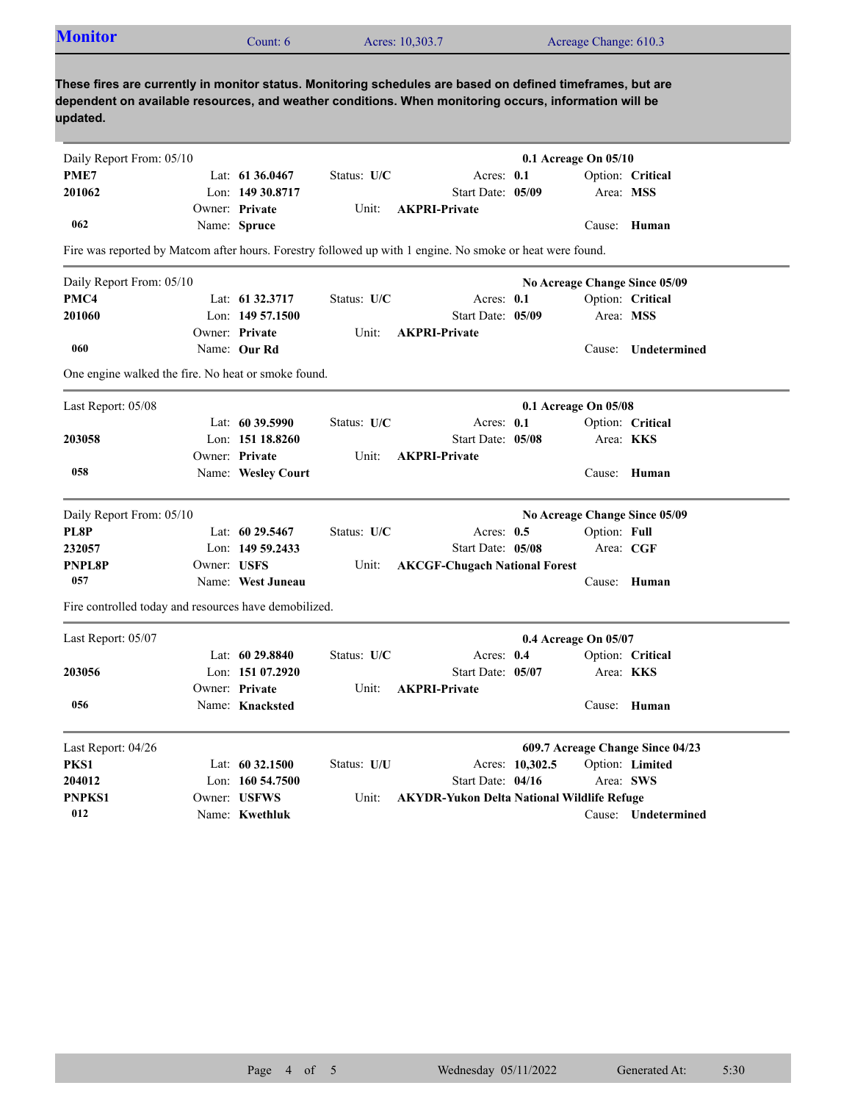| <b>Monitor</b>                                                                                                                                                                                                                  |             | Count: 6           |             | Acres: 10,303.7                                   |                   | Acreage Change: 610.3         |                                  |
|---------------------------------------------------------------------------------------------------------------------------------------------------------------------------------------------------------------------------------|-------------|--------------------|-------------|---------------------------------------------------|-------------------|-------------------------------|----------------------------------|
| These fires are currently in monitor status. Monitoring schedules are based on defined timeframes, but are<br>dependent on available resources, and weather conditions. When monitoring occurs, information will be<br>updated. |             |                    |             |                                                   |                   |                               |                                  |
| Daily Report From: 05/10                                                                                                                                                                                                        |             |                    |             |                                                   |                   | 0.1 Acreage On 05/10          |                                  |
| PME7                                                                                                                                                                                                                            |             | Lat: $6136.0467$   | Status: U/C |                                                   | Acres: 0.1        |                               | Option: Critical                 |
| 201062                                                                                                                                                                                                                          |             | Lon: 149 30.8717   |             |                                                   | Start Date: 05/09 |                               | Area: MSS                        |
|                                                                                                                                                                                                                                 |             | Owner: Private     | Unit:       | <b>AKPRI-Private</b>                              |                   |                               |                                  |
| 062                                                                                                                                                                                                                             |             | Name: Spruce       |             |                                                   |                   |                               | Cause: Human                     |
| Fire was reported by Matcom after hours. Forestry followed up with 1 engine. No smoke or heat were found.                                                                                                                       |             |                    |             |                                                   |                   |                               |                                  |
| Daily Report From: 05/10                                                                                                                                                                                                        |             |                    |             |                                                   |                   | No Acreage Change Since 05/09 |                                  |
| PMC4                                                                                                                                                                                                                            |             | Lat: 61 32.3717    | Status: U/C |                                                   | Acres: $0.1$      |                               | Option: Critical                 |
| 201060                                                                                                                                                                                                                          |             | Lon: $14957.1500$  |             |                                                   | Start Date: 05/09 | Area: MSS                     |                                  |
|                                                                                                                                                                                                                                 |             | Owner: Private     | Unit:       | <b>AKPRI-Private</b>                              |                   |                               |                                  |
| 060                                                                                                                                                                                                                             |             | Name: Our Rd       |             |                                                   |                   | Cause:                        | Undetermined                     |
| One engine walked the fire. No heat or smoke found.                                                                                                                                                                             |             |                    |             |                                                   |                   |                               |                                  |
| Last Report: 05/08                                                                                                                                                                                                              |             |                    |             |                                                   |                   | 0.1 Acreage On 05/08          |                                  |
|                                                                                                                                                                                                                                 |             | Lat: $6039.5990$   | Status: U/C |                                                   | Acres: 0.1        |                               | Option: Critical                 |
| 203058                                                                                                                                                                                                                          |             | Lon: 151 18.8260   |             |                                                   | Start Date: 05/08 |                               | Area: <b>KKS</b>                 |
|                                                                                                                                                                                                                                 |             | Owner: Private     | Unit:       | <b>AKPRI-Private</b>                              |                   |                               |                                  |
| 058                                                                                                                                                                                                                             |             | Name: Wesley Court |             |                                                   |                   |                               | Cause: Human                     |
| Daily Report From: 05/10                                                                                                                                                                                                        |             |                    |             |                                                   |                   | No Acreage Change Since 05/09 |                                  |
| PL8P                                                                                                                                                                                                                            |             | Lat: $60\,29.5467$ | Status: U/C |                                                   | Acres: $0.5$      | Option: Full                  |                                  |
| 232057                                                                                                                                                                                                                          |             | Lon: $14959.2433$  |             |                                                   | Start Date: 05/08 |                               | Area: CGF                        |
| <b>PNPL8P</b>                                                                                                                                                                                                                   | Owner: USFS |                    | Unit:       | <b>AKCGF-Chugach National Forest</b>              |                   |                               |                                  |
| 057                                                                                                                                                                                                                             |             | Name: West Juneau  |             |                                                   |                   |                               | Cause: Human                     |
| Fire controlled today and resources have demobilized.                                                                                                                                                                           |             |                    |             |                                                   |                   |                               |                                  |
| Last Report: 05/07                                                                                                                                                                                                              |             |                    |             |                                                   |                   | 0.4 Acreage On 05/07          |                                  |
|                                                                                                                                                                                                                                 |             | Lat: 60 29.8840    | Status: U/C |                                                   | Acres: 0.4        |                               | Option: Critical                 |
| 203056                                                                                                                                                                                                                          |             | Lon: 151 07.2920   |             |                                                   | Start Date: 05/07 |                               | Area: KKS                        |
|                                                                                                                                                                                                                                 |             | Owner: Private     | Unit:       | <b>AKPRI-Private</b>                              |                   |                               |                                  |
| 056                                                                                                                                                                                                                             |             | Name: Knacksted    |             |                                                   |                   |                               | Cause: Human                     |
| Last Report: 04/26                                                                                                                                                                                                              |             |                    |             |                                                   |                   |                               | 609.7 Acreage Change Since 04/23 |
|                                                                                                                                                                                                                                 |             | Lat: 60 32.1500    | Status: U/U |                                                   | Acres: 10,302.5   |                               | Option: Limited                  |
|                                                                                                                                                                                                                                 |             |                    |             |                                                   |                   |                               |                                  |
| PKS1                                                                                                                                                                                                                            |             | Lon: 160 54.7500   |             |                                                   | Start Date: 04/16 |                               | Area: SWS                        |
| 204012<br>PNPKS1                                                                                                                                                                                                                |             | Owner: USFWS       | Unit:       | <b>AKYDR-Yukon Delta National Wildlife Refuge</b> |                   |                               |                                  |